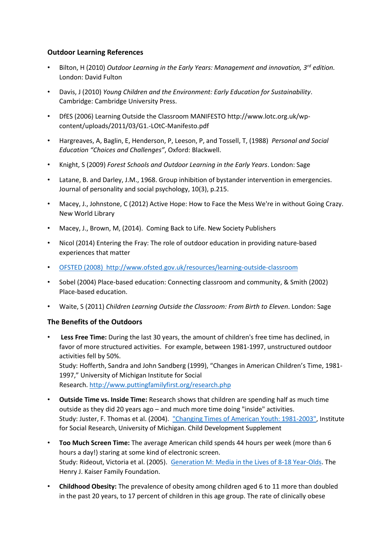## **Outdoor Learning References**

- Bilton, H (2010) *Outdoor Learning in the Early Years: Management and innovation, 3rd edition.* London: David Fulton
- Davis, J (2010) *Young Children and the Environment: Early Education for Sustainability*. Cambridge: Cambridge University Press.
- DfES (2006) Learning Outside the Classroom MANIFESTO http://www.lotc.org.uk/wpcontent/uploads/2011/03/G1.-LOtC-Manifesto.pdf
- Hargreaves, A, Baglin, E, Henderson, P, Leeson, P, and Tossell, T, (1988) *Personal and Social Education "Choices and Challenges"*, Oxford: Blackwell.
- Knight, S (2009) *Forest Schools and Outdoor Learning in the Early Years*. London: Sage
- Latane, B. and Darley, J.M., 1968. Group inhibition of bystander intervention in emergencies. Journal of personality and social psychology, 10(3), p.215.
- Macey, J., Johnstone, C (2012) Active Hope: How to Face the Mess We're in without Going Crazy. New World Library
- Macey, J., Brown, M, (2014). Coming Back to Life. New Society Publishers
- Nicol (2014) Entering the Fray: The role of outdoor education in providing nature-based experiences that matter
- [OFSTED \(2008\) http://www.ofsted.gov.uk/resources/learning-outside-classroom](http://www.ofsted.gov.uk/resources/learning-outside-classroom)
- Sobel (2004) Place-based education: Connecting classroom and community, & Smith (2002) Place-based education.
- Waite, S (2011) *Children Learning Outside the Classroom: From Birth to Eleven*. London: Sage

## **The Benefits of the Outdoors**

• **Less Free Time:** During the last 30 years, the amount of children's free time has declined, in favor of more structured activities. For example, between 1981-1997, unstructured outdoor activities fell by 50%. Study: Hofferth, Sandra and John Sandberg (1999), "Changes in American Children's Time, 1981- 1997," University of Michigan Institute for Social

Research. <http://www.puttingfamilyfirst.org/research.php>

- **Outside Time vs. Inside Time:** Research shows that children are spending half as much time outside as they did 20 years ago – and much more time doing "inside" activities. Study: Juster, F. Thomas et al. (2004). ["Changing Times of American Youth: 1981-2003",](http://www.umich.edu/news/Releases/2004/Nov04/teen_time_report.pdf) Institute for Social Research, University of Michigan. Child Development Supplement
- **Too Much Screen Time:** The average American child spends 44 hours per week (more than 6 hours a day!) staring at some kind of electronic screen. Study: Rideout, Victoria et al. (2005). [Generation M: Media in the Lives of 8-18 Year-Olds.](http://www.kff.org/entmedia/entmedia030905pkg.cfm) The Henry J. Kaiser Family Foundation.
- **Childhood Obesity:** The prevalence of obesity among children aged 6 to 11 more than doubled in the past 20 years, to 17 percent of children in this age group. The rate of clinically obese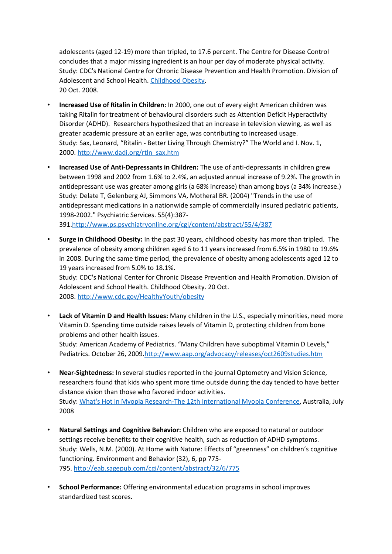adolescents (aged 12-19) more than tripled, to 17.6 percent. The Centre for Disease Control concludes that a major missing ingredient is an hour per day of moderate physical activity. Study: CDC's National Centre for Chronic Disease Prevention and Health Promotion. Division of Adolescent and School Health. [Childhood Obesity.](http://www.cdc.gov/HealthyYouth/obesity/) 20 Oct. 2008.

- **Increased Use of Ritalin in Children:** In 2000, one out of every eight American children was taking Ritalin for treatment of behavioural disorders such as Attention Deficit Hyperactivity Disorder (ADHD). Researchers hypothesized that an increase in television viewing, as well as greater academic pressure at an earlier age, was contributing to increased usage. Study: Sax, Leonard, "Ritalin - Better Living Through Chemistry?" The World and I. Nov. 1, 2000. [http://www.dadi.org/rtln\\_sax.htm](http://www.dadi.org/rtln_sax.htm)
- **Increased Use of Anti-Depressants in Children:** The use of anti-depressants in children grew between 1998 and 2002 from 1.6% to 2.4%, an adjusted annual increase of 9.2%. The growth in antidepressant use was greater among girls (a 68% increase) than among boys (a 34% increase.) Study: Delate T, Gelenberg AJ, Simmons VA, Motheral BR. (2004) "Trends in the use of antidepressant medications in a nationwide sample of commercially insured pediatric patients, 1998-2002." Psychiatric Services. 55(4):387- 391[.http://www.ps.psychiatryonline.org/cgi/content/abstract/55/4/387](http://www.ps.psychiatryonline.org/cgi/content/abstract/55/4/387)

• **Surge in Childhood Obesity:** In the past 30 years, childhood obesity has more than tripled. The

prevalence of obesity among children aged 6 to 11 years increased from 6.5% in 1980 to 19.6% in 2008. During the same time period, the prevalence of obesity among adolescents aged 12 to 19 years increased from 5.0% to 18.1%.

Study: CDC's National Center for Chronic Disease Prevention and Health Promotion. Division of Adolescent and School Health. Childhood Obesity. 20 Oct. 2008. <http://www.cdc.gov/HealthyYouth/obesity>

• **Lack of Vitamin D and Health Issues:** Many children in the U.S., especially minorities, need more Vitamin D. Spending time outside raises levels of Vitamin D, protecting children from bone problems and other health issues.

Study: American Academy of Pediatrics. "Many Children have suboptimal Vitamin D Levels," Pediatrics. October 26, 2009[.http://www.aap.org/advocacy/releases/oct2609studies.htm](http://www.aap.org/advocacy/releases/oct2609studies.htm) 

- **Near-Sightedness:** In several studies reported in the journal Optometry and Vision Science, researchers found that kids who spent more time outside during the day tended to have better distance vision than those who favored indoor activities. Study: [What's Hot in Myopia Research-The 12th International Myopia Conference,](http://journals.lww.com/optvissci/Fulltext/2009/01000/What_s_Hot_in_Myopia_Research_The_12th.2.aspx) Australia, July 2008
- **Natural Settings and Cognitive Behavior:** Children who are exposed to natural or outdoor settings receive benefits to their cognitive health, such as reduction of ADHD symptoms. Study: Wells, N.M. (2000). At Home with Nature: Effects of "greenness" on children's cognitive functioning. Environment and Behavior (32), 6, pp 775- 795. <http://eab.sagepub.com/cgi/content/abstract/32/6/775>
- **School Performance:** Offering environmental education programs in school improves standardized test scores.